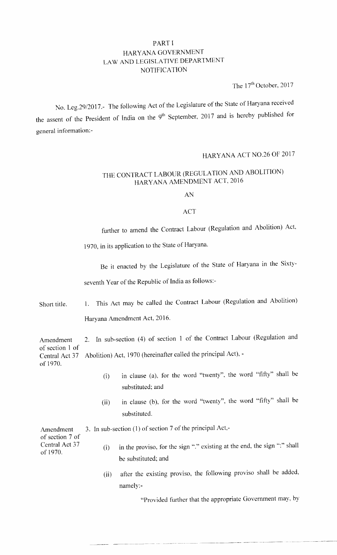### PART I HARYANA GOVERNMENT LAW AND LEGISLATIVE DEPARTMENT NOTIFICATION

The  $17<sup>th</sup>$  October, 2017

No. Leg.29/2017.- The following Act of the Legislature of the State of Haryana received the assent of the President of India on the 9<sup>th</sup> September, 2017 and is hereby published for general information:-

# HARYANA ACT NO.26 OF 2017

## THE CONTRACT LABOUR (REGULATION AND ABOLITION) HARYANA AMENDMENT ACT, 2016

AN

#### ACT

further to amend the Contract Labour (Regulation and Abolition) Act,

1970, in its application to the State of Haryana'

Be it enacted by the Legislature of the State of Haryana in the Sixtyseventh Year of the Republic of India as follows:-

Short title. 1. This Act may be called the Contract Labour (Regulation and Abolition) Harvana Amendment Act, 2016.

Amendment 2. In sub-section (4) of section 1 of the Contract Labour (Regulation and of section 1 of Central Act 37 Abolition) Act, 1970 (hereinafter called the principal Act), of 1970.

- (i) in clause (a), for the word "twenty", the word "fifty" shall be substituted; and
- (ii) in clause (b), for the word "twenty", the word "fifty" shall be substituted.

Amendment 3. In sub-section (1) of section 7 of the principal Act,of section 7 of of 1970. Central Act 37 (i) in the proviso, for the sign ":" existing at the end, the sign ":" shall be substituted; and

(ii) after the existing proviso, the following proviso shall be added. namely:-

"Provided further that the appropriate Government may, by